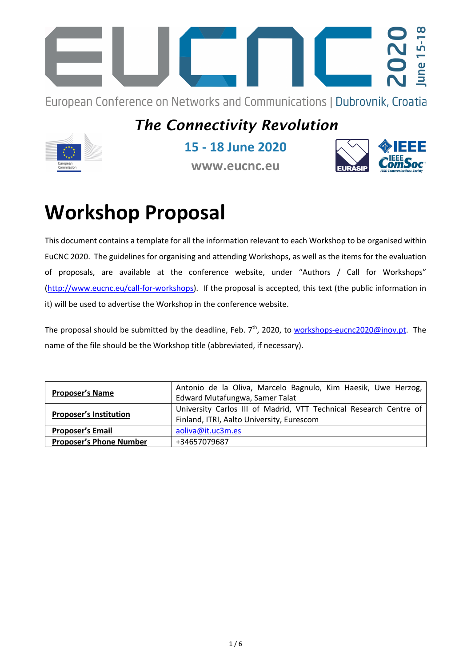

European Conference on Networks and Communications | Dubrovnik, Croatia

## *The Connectivity Revolution*



**15 - 18 June 2020**

**www.eucnc.eu**



## **Workshop Proposal**

This document contains a template for all the information relevant to each Workshop to be organised within EuCNC 2020. The guidelines for organising and attending Workshops, as well as the items for the evaluation of proposals, are available at the conference website, under "Authors / Call for Workshops" (http://www.eucnc.eu/call-for-workshops). If the proposal is accepted, this text (the public information in it) will be used to advertise the Workshop in the conference website.

The proposal should be submitted by the deadline, Feb. 7<sup>th</sup>, 2020, to workshops-eucnc2020@inov.pt. The name of the file should be the Workshop title (abbreviated, if necessary).

| <b>Proposer's Name</b>         | Antonio de la Oliva, Marcelo Bagnulo, Kim Haesik, Uwe Herzog,     |
|--------------------------------|-------------------------------------------------------------------|
|                                | Edward Mutafungwa, Samer Talat                                    |
| <b>Proposer's Institution</b>  | University Carlos III of Madrid, VTT Technical Research Centre of |
|                                | Finland, ITRI, Aalto University, Eurescom                         |
| <b>Proposer's Email</b>        | aoliva@it.uc3m.es                                                 |
| <b>Proposer's Phone Number</b> | +34657079687                                                      |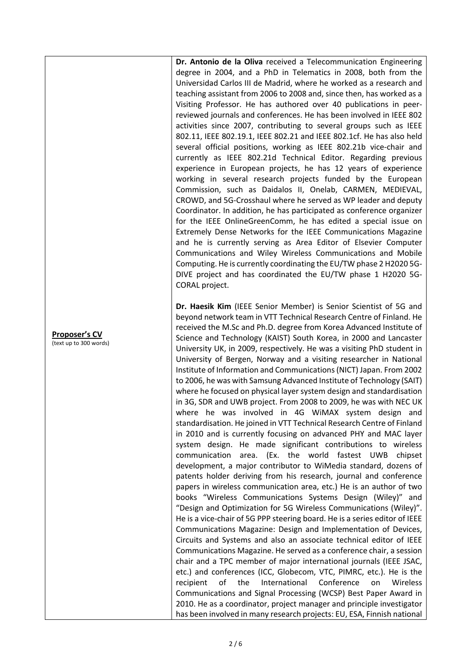**Dr. Antonio de la Oliva** received a Telecommunication Engineering degree in 2004, and a PhD in Telematics in 2008, both from the Universidad Carlos III de Madrid, where he worked as a research and teaching assistant from 2006 to 2008 and, since then, has worked as a Visiting Professor. He has authored over 40 publications in peerreviewed journals and conferences. He has been involved in IEEE 802 activities since 2007, contributing to several groups such as IEEE 802.11, IEEE 802.19.1, IEEE 802.21 and IEEE 802.1cf. He has also held several official positions, working as IEEE 802.21b vice-chair and currently as IEEE 802.21d Technical Editor. Regarding previous experience in European projects, he has 12 years of experience working in several research projects funded by the European Commission, such as Daidalos II, Onelab, CARMEN, MEDIEVAL, CROWD, and 5G-Crosshaul where he served as WP leader and deputy Coordinator. In addition, he has participated as conference organizer for the IEEE OnlineGreenComm, he has edited a special issue on Extremely Dense Networks for the IEEE Communications Magazine and he is currently serving as Area Editor of Elsevier Computer Communications and Wiley Wireless Communications and Mobile Computing. He is currently coordinating the EU/TW phase 2 H2020 5G-DIVE project and has coordinated the EU/TW phase 1 H2020 5G-CORAL project.

**Dr. Haesik Kim** (IEEE Senior Member) is Senior Scientist of 5G and beyond network team in VTT Technical Research Centre of Finland. He received the M.Sc and Ph.D. degree from Korea Advanced Institute of Science and Technology (KAIST) South Korea, in 2000 and Lancaster University UK, in 2009, respectively. He was a visiting PhD student in University of Bergen, Norway and a visiting researcher in National Institute of Information and Communications (NICT) Japan. From 2002 to 2006, he was with Samsung Advanced Institute of Technology (SAIT) where he focused on physical layer system design and standardisation in 3G, SDR and UWB project. From 2008 to 2009, he was with NEC UK where he was involved in 4G WiMAX system design and standardisation. He joined in VTT Technical Research Centre of Finland in 2010 and is currently focusing on advanced PHY and MAC layer system design. He made significant contributions to wireless communication area. (Ex. the world fastest UWB chipset development, a major contributor to WiMedia standard, dozens of patents holder deriving from his research, journal and conference papers in wireless communication area, etc.) He is an author of two books "Wireless Communications Systems Design (Wiley)" and "Design and Optimization for 5G Wireless Communications (Wiley)". He is a vice-chair of 5G PPP steering board. He is a series editor of IEEE Communications Magazine: Design and Implementation of Devices, Circuits and Systems and also an associate technical editor of IEEE Communications Magazine. He served as a conference chair, a session chair and a TPC member of major international journals (IEEE JSAC, etc.) and conferences (ICC, Globecom, VTC, PIMRC, etc.). He is the recipient of the International Conference on Wireless Communications and Signal Processing (WCSP) Best Paper Award in 2010. He as a coordinator, project manager and principle investigator has been involved in many research projects: EU, ESA, Finnish national

**Proposer's CV** (text up to 300 words)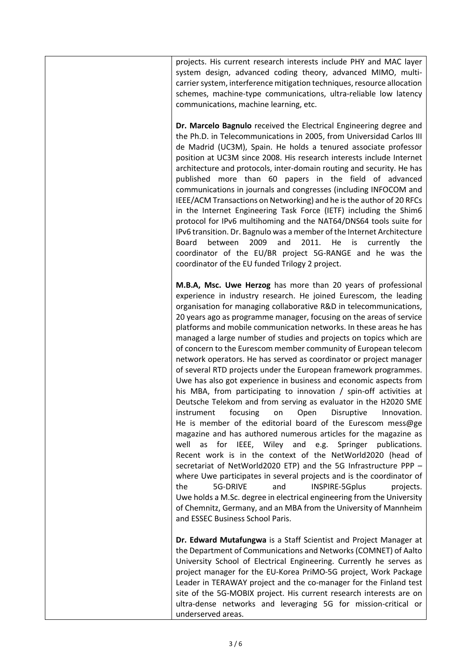projects. His current research interests include PHY and MAC layer system design, advanced coding theory, advanced MIMO, multicarrier system, interference mitigation techniques, resource allocation schemes, machine-type communications, ultra-reliable low latency communications, machine learning, etc.

**Dr. Marcelo Bagnulo** received the Electrical Engineering degree and the Ph.D. in Telecommunications in 2005, from Universidad Carlos III de Madrid (UC3M), Spain. He holds a tenured associate professor position at UC3M since 2008. His research interests include Internet architecture and protocols, inter-domain routing and security. He has published more than 60 papers in the field of advanced communications in journals and congresses (including INFOCOM and IEEE/ACM Transactions on Networking) and he is the author of 20 RFCs in the Internet Engineering Task Force (IETF) including the Shim6 protocol for IPv6 multihoming and the NAT64/DNS64 tools suite for IPv6 transition. Dr. Bagnulo was a member of the Internet Architecture Board between 2009 and 2011. He is currently the coordinator of the EU/BR project 5G-RANGE and he was the coordinator of the EU funded Trilogy 2 project.

**M.B.A, Msc. Uwe Herzog** has more than 20 years of professional experience in industry research. He joined Eurescom, the leading organisation for managing collaborative R&D in telecommunications, 20 years ago as programme manager, focusing on the areas of service platforms and mobile communication networks. In these areas he has managed a large number of studies and projects on topics which are of concern to the Eurescom member community of European telecom network operators. He has served as coordinator or project manager of several RTD projects under the European framework programmes. Uwe has also got experience in business and economic aspects from his MBA, from participating to innovation / spin-off activities at Deutsche Telekom and from serving as evaluator in the H2020 SME instrument focusing on Open Disruptive Innovation. He is member of the editorial board of the Eurescom mess@ge magazine and has authored numerous articles for the magazine as well as for IEEE, Wiley and e.g. Springer publications. Recent work is in the context of the NetWorld2020 (head of secretariat of NetWorld2020 ETP) and the 5G Infrastructure PPP – where Uwe participates in several projects and is the coordinator of the 5G-DRIVE and INSPIRE-5Gplus projects. Uwe holds a M.Sc. degree in electrical engineering from the University of Chemnitz, Germany, and an MBA from the University of Mannheim and ESSEC Business School Paris.

**Dr. Edward Mutafungwa** is a Staff Scientist and Project Manager at the Department of Communications and Networks (COMNET) of Aalto University School of Electrical Engineering. Currently he serves as project manager for the EU-Korea PriMO-5G project, Work Package Leader in TERAWAY project and the co-manager for the Finland test site of the 5G-MOBIX project. His current research interests are on ultra-dense networks and leveraging 5G for mission-critical or underserved areas.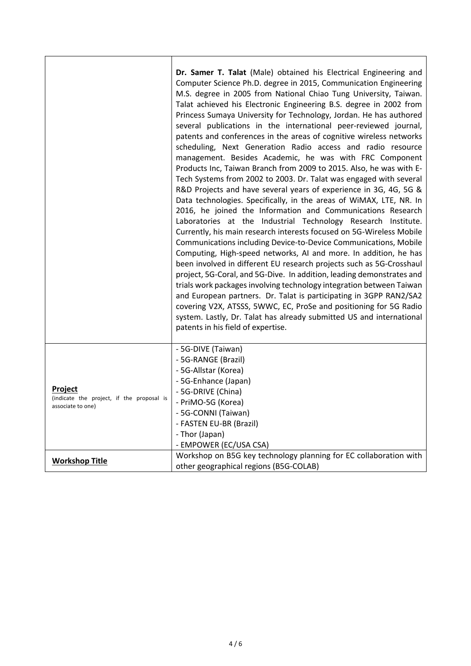|                                                                           | Dr. Samer T. Talat (Male) obtained his Electrical Engineering and<br>Computer Science Ph.D. degree in 2015, Communication Engineering<br>M.S. degree in 2005 from National Chiao Tung University, Taiwan.<br>Talat achieved his Electronic Engineering B.S. degree in 2002 from<br>Princess Sumaya University for Technology, Jordan. He has authored<br>several publications in the international peer-reviewed journal,<br>patents and conferences in the areas of cognitive wireless networks<br>scheduling, Next Generation Radio access and radio resource<br>management. Besides Academic, he was with FRC Component<br>Products Inc, Taiwan Branch from 2009 to 2015. Also, he was with E-<br>Tech Systems from 2002 to 2003. Dr. Talat was engaged with several<br>R&D Projects and have several years of experience in 3G, 4G, 5G &<br>Data technologies. Specifically, in the areas of WiMAX, LTE, NR. In<br>2016, he joined the Information and Communications Research<br>Laboratories at the Industrial Technology Research Institute.<br>Currently, his main research interests focused on 5G-Wireless Mobile<br>Communications including Device-to-Device Communications, Mobile<br>Computing, High-speed networks, AI and more. In addition, he has<br>been involved in different EU research projects such as 5G-Crosshaul<br>project, 5G-Coral, and 5G-Dive. In addition, leading demonstrates and<br>trials work packages involving technology integration between Taiwan<br>and European partners. Dr. Talat is participating in 3GPP RAN2/SA2 |
|---------------------------------------------------------------------------|--------------------------------------------------------------------------------------------------------------------------------------------------------------------------------------------------------------------------------------------------------------------------------------------------------------------------------------------------------------------------------------------------------------------------------------------------------------------------------------------------------------------------------------------------------------------------------------------------------------------------------------------------------------------------------------------------------------------------------------------------------------------------------------------------------------------------------------------------------------------------------------------------------------------------------------------------------------------------------------------------------------------------------------------------------------------------------------------------------------------------------------------------------------------------------------------------------------------------------------------------------------------------------------------------------------------------------------------------------------------------------------------------------------------------------------------------------------------------------------------------------------------------------------------------------------------|
|                                                                           | covering V2X, ATSSS, 5WWC, EC, ProSe and positioning for 5G Radio<br>system. Lastly, Dr. Talat has already submitted US and international<br>patents in his field of expertise.                                                                                                                                                                                                                                                                                                                                                                                                                                                                                                                                                                                                                                                                                                                                                                                                                                                                                                                                                                                                                                                                                                                                                                                                                                                                                                                                                                                    |
| Project<br>(indicate the project, if the proposal is<br>associate to one) | - 5G-DIVE (Taiwan)<br>- 5G-RANGE (Brazil)<br>- 5G-Allstar (Korea)<br>- 5G-Enhance (Japan)<br>- 5G-DRIVE (China)<br>- PriMO-5G (Korea)<br>- 5G-CONNI (Taiwan)<br>- FASTEN EU-BR (Brazil)<br>- Thor (Japan)<br>- EMPOWER (EC/USA CSA)                                                                                                                                                                                                                                                                                                                                                                                                                                                                                                                                                                                                                                                                                                                                                                                                                                                                                                                                                                                                                                                                                                                                                                                                                                                                                                                                |
| <b>Workshop Title</b>                                                     | Workshop on B5G key technology planning for EC collaboration with<br>other geographical regions (B5G-COLAB)                                                                                                                                                                                                                                                                                                                                                                                                                                                                                                                                                                                                                                                                                                                                                                                                                                                                                                                                                                                                                                                                                                                                                                                                                                                                                                                                                                                                                                                        |

٦

ń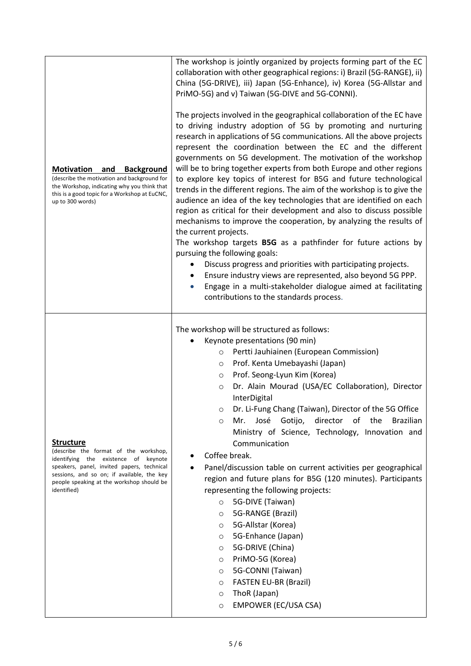| <b>Motivation</b><br><b>Background</b><br>and<br>(describe the motivation and background for<br>the Workshop, indicating why you think that<br>this is a good topic for a Workshop at EuCNC,<br>up to 300 words)                                          | The workshop is jointly organized by projects forming part of the EC<br>collaboration with other geographical regions: i) Brazil (5G-RANGE), ii)<br>China (5G-DRIVE), iii) Japan (5G-Enhance), iv) Korea (5G-Allstar and<br>PriMO-5G) and v) Taiwan (5G-DIVE and 5G-CONNI).<br>The projects involved in the geographical collaboration of the EC have<br>to driving industry adoption of 5G by promoting and nurturing<br>research in applications of 5G communications. All the above projects<br>represent the coordination between the EC and the different<br>governments on 5G development. The motivation of the workshop<br>will be to bring together experts from both Europe and other regions<br>to explore key topics of interest for B5G and future technological<br>trends in the different regions. The aim of the workshop is to give the<br>audience an idea of the key technologies that are identified on each<br>region as critical for their development and also to discuss possible<br>mechanisms to improve the cooperation, by analyzing the results of<br>the current projects.<br>The workshop targets <b>B5G</b> as a pathfinder for future actions by<br>pursuing the following goals:<br>Discuss progress and priorities with participating projects.<br>Ensure industry views are represented, also beyond 5G PPP.<br>Engage in a multi-stakeholder dialogue aimed at facilitating<br>contributions to the standards process. |
|-----------------------------------------------------------------------------------------------------------------------------------------------------------------------------------------------------------------------------------------------------------|-------------------------------------------------------------------------------------------------------------------------------------------------------------------------------------------------------------------------------------------------------------------------------------------------------------------------------------------------------------------------------------------------------------------------------------------------------------------------------------------------------------------------------------------------------------------------------------------------------------------------------------------------------------------------------------------------------------------------------------------------------------------------------------------------------------------------------------------------------------------------------------------------------------------------------------------------------------------------------------------------------------------------------------------------------------------------------------------------------------------------------------------------------------------------------------------------------------------------------------------------------------------------------------------------------------------------------------------------------------------------------------------------------------------------------------------------------------|
| <b>Structure</b><br>(describe the format of the workshop,<br>identifying the existence of keynote<br>speakers, panel, invited papers, technical<br>sessions, and so on; if available, the key<br>people speaking at the workshop should be<br>identified) | The workshop will be structured as follows:<br>Keynote presentations (90 min)<br>Pertti Jauhiainen (European Commission)<br>$\circ$<br>Prof. Kenta Umebayashi (Japan)<br>O<br>Prof. Seong-Lyun Kim (Korea)<br>$\circ$<br>Dr. Alain Mourad (USA/EC Collaboration), Director<br>$\circ$<br>InterDigital<br>Dr. Li-Fung Chang (Taiwan), Director of the 5G Office<br>director of<br>Mr.<br>José<br>Gotijo,<br>the<br><b>Brazilian</b><br>$\circ$<br>Ministry of Science, Technology, Innovation and<br>Communication<br>Coffee break.<br>Panel/discussion table on current activities per geographical<br>region and future plans for B5G (120 minutes). Participants<br>representing the following projects:<br>5G-DIVE (Taiwan)<br>$\circ$<br>5G-RANGE (Brazil)<br>$\circ$<br>5G-Allstar (Korea)<br>$\circ$<br>5G-Enhance (Japan)<br>$\circ$<br>5G-DRIVE (China)<br>$\circ$<br>PriMO-5G (Korea)<br>$\circ$<br>5G-CONNI (Taiwan)<br>$\circ$<br><b>FASTEN EU-BR (Brazil)</b><br>$\circ$<br>ThoR (Japan)<br>$\circ$<br>EMPOWER (EC/USA CSA)<br>$\circ$                                                                                                                                                                                                                                                                                                                                                                                                          |